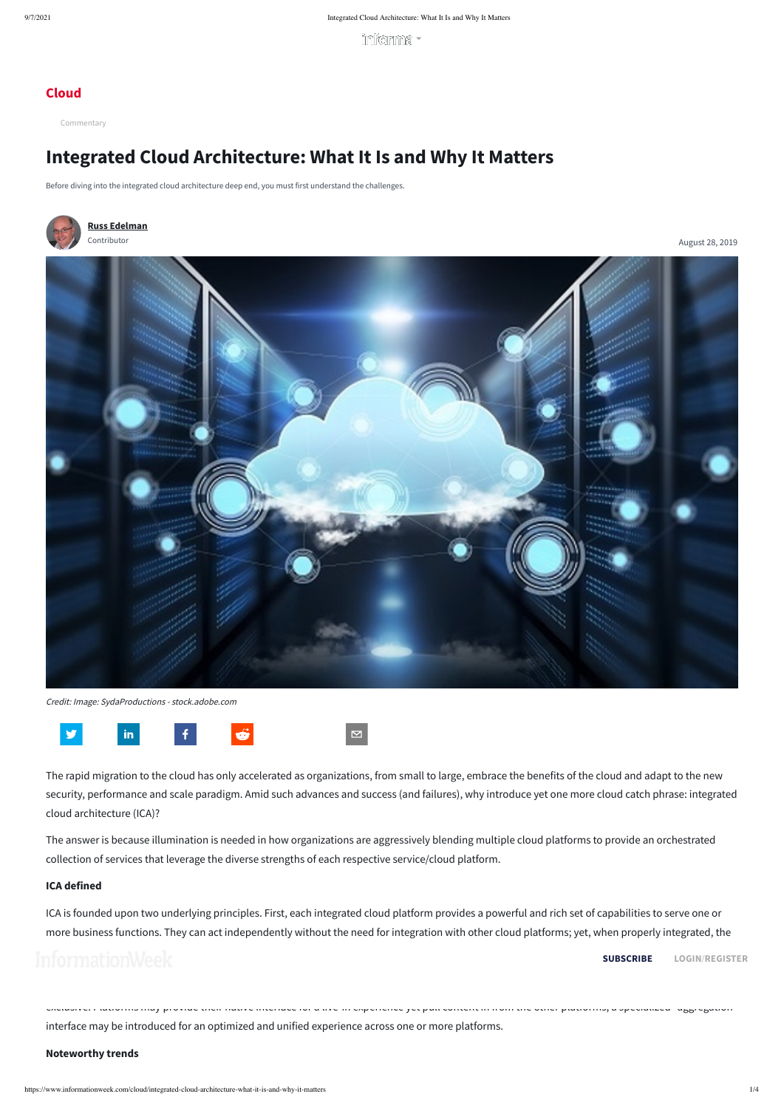informe -

https://www.informationweek.com/cloud/integrated-cloud-architecture-what-it-is-and-why-it-matters 1/4

## **Cloud**

Commentary

# **Integrated Cloud Architecture: What It Is and Why It Matters**

Before diving into the integrated cloud architecture deep end, you must first understand the challenges.

Credit: Image: SydaProductions - stock.adobe.com



The rapid migration to the cloud has only accelerated as organizations, from small to large, embrace the benefits of the cloud and adapt to the new security, performance and scale paradigm. Amid such advances and success (and failures), why introduce yet one more cloud catch phrase: integrated cloud architecture (ICA)?

The answer is because illumination is needed in how organizations are aggressively blending multiple cloud platforms to provide an orchestrated collection of services that leverage the diverse strengths of each respective service/cloud platform.

## **ICA defined**

exclusive. Platforms may provide their native interface for a live-in experience yet pull content in from the other platforms; a specialized "aggregation" interface may be introduced for an optimized and unified experience across one or more platforms.

ICA is founded upon two underlying principles. First, each integrated cloud platform provides a powerful and rich set of capabilities to serve one or more business functions. They can act independently without the need for integration with other cloud platforms; yet, when properly integrated, the

[collective sum is greater tha](https://www.informationweek.com/)n the individual and non-integrated capabilities. Those capabilities are both unique to each [cloud platform](https://informationweek.com/newsletter-signup/Default.asp?_mc=iwk_eoa) (e.g. **SUBSCRIBE LOGIN**/**REGISTER**

### **Noteworthy trends**



Contributor August 28, 2019

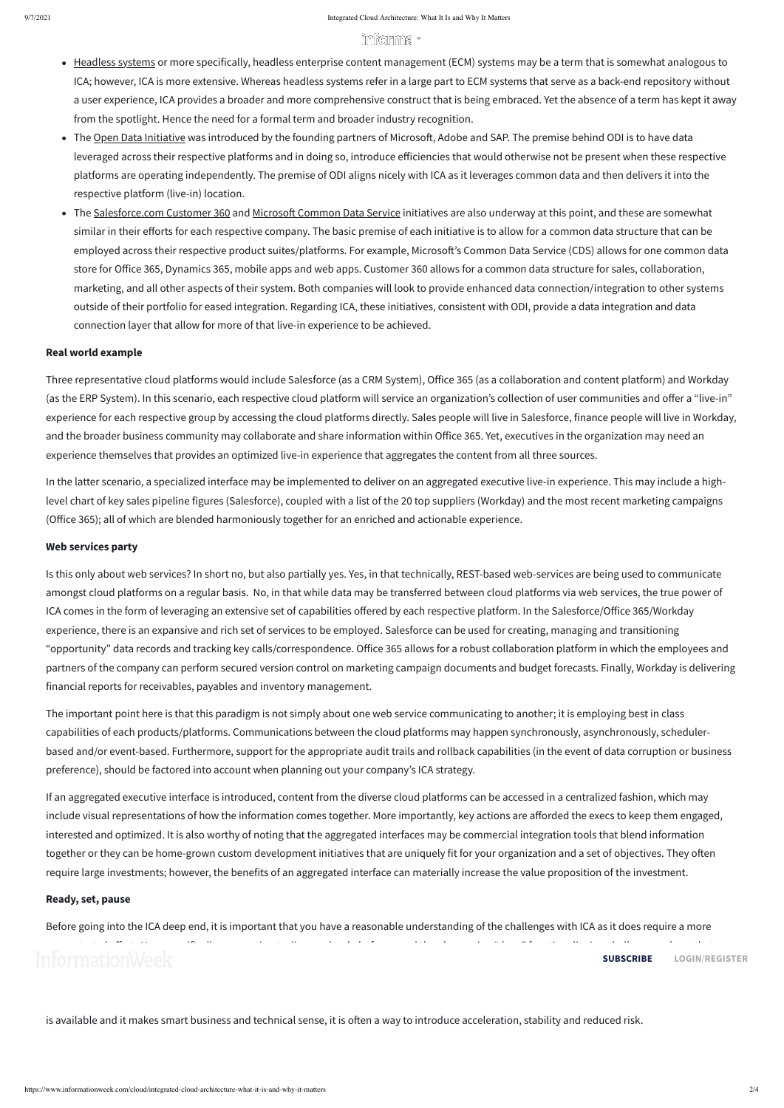# In analyzing other trends, there are a few that are noteworthy as a point of  $\Gamma$

https://www.informationweek.com/cloud/integrated-cloud-architecture-what-it-is-and-why-it-matters 2/4

- Headless systems or more specifically, headless enterprise content management (ECM) systems may be a term that is somewhat analogous to ICA; however, ICA is more extensive. Whereas headless systems refer in a large part to ECM systems that serve as a back-end repository without a user experience, ICA provides a broader and more comprehensive construct that is being embraced. Yet the absence of a term has kept it away from the spotlight. Hence the need for a formal term and broader industry recognition.
- The Open Data Initiative was introduced by the founding partners of Microsoft, Adobe and SAP. The premise behind ODI is to have data leveraged across their respective platforms and in doing so, introduce efficiencies that would otherwise not be present when these respective platforms are operating independently. The premise of ODI aligns nicely with ICA as it leverages common data and then delivers it into the respective platform (live-in) location.
- The Salesforce.com Customer 360 and Microsoft Common Data Service initiatives are also underway at this point, and these are somewhat similar in their efforts for each respective company. The basic premise of each initiative is to allow for a common data structure that can be employed across their respective product suites/platforms. For example, Microsoft's Common Data Service (CDS) allows for one common data store for Office 365, Dynamics 365, mobile apps and web apps. Customer 360 allows for a common data structure for sales, collaboration, marketing, and all other aspects of their system. Both companies will look to provide enhanced data connection/integration to other systems outside of their portfolio for eased integration. Regarding ICA, these initiatives, consistent with ODI, provide a data integration and data connection layer that allow for more of that live-in experience to be achieved.

### **Real world example**

Three representative cloud platforms would include Salesforce (as a CRM System), Office 365 (as a collaboration and content platform) and Workday (as the ERP System). In this scenario, each respective cloud platform will service an organization's collection of user communities and offer a "live-in" experience for each respective group by accessing the cloud platforms directly. Sales people will live in Salesforce, finance people will live in Workday, and the broader business community may collaborate and share information within Office 365. Yet, executives in the organization may need an experience themselves that provides an optimized live-in experience that aggregates the content from all three sources.

In the latter scenario, a specialized interface may be implemented to deliver on an aggregated executive live-in experience. This may include a highlevel chart of key sales pipeline figures (Salesforce), coupled with a list of the 20 top suppliers (Workday) and the most recent marketing campaigns (Office 365); all of which are blended harmoniously together for an enriched and actionable experience.

### **Web services party**

Is this only about web services? In short no, but also partially yes. Yes, in that technically, REST-based web-services are being used to communicate amongst cloud platforms on a regular basis. No, in that while data may be transferred between cloud platforms via web services, the true power of ICA comes in the form of leveraging an extensive set of capabilities offered by each respective platform. In the Salesforce/Office 365/Workday experience, there is an expansive and rich set of services to be employed. Salesforce can be used for creating, managing and transitioning "opportunity" data records and tracking key calls/correspondence. Office 365 allows for a robust collaboration platform in which the employees and partners of the company can perform secured version control on marketing campaign documents and budget forecasts. Finally, Workday is delivering financial reports for receivables, payables and inventory management.

The important point here is that this paradigm is not simply about one web service communicating to another; it is employing best in class capabilities of each products/platforms. Communications between the cloud platforms may happen synchronously, asynchronously, schedulerbased and/or event-based. Furthermore, support for the appropriate audit trails and rollback capabilities (in the event of data corruption or business preference), should be factored into account when planning out your company's ICA strategy.

If an aggregated executive interface is introduced, content from the diverse cloud platforms can be accessed in a centralized fashion, which may include visual representations of how the information comes together. More importantly, key actions are afforded the execs to keep them engaged, interested and optimized. It is also worthy of noting that the aggregated interfaces may be commercial integration tools that blend information together or they can be home-grown custom development initiatives that are uniquely fit for your organization and a set of objectives. They often require large investments; however, the benefits of an aggregated interface can materially increase the value proposition of the investment.

### **Ready, set, pause**

Before going into the ICA deep end, it is important that you have a reasonable understanding of the challenges with ICA as it does require a more

concentrated effort. More specifically, connecting to diverse cloud platforms and then leveraging "deep" functionality is a challenge and one that

# InformationWeek **planning, iterations, some failures and ultimately, iterations, some failures and some failures**

is available and it makes smart business and technical sense, it is often a way to introduce acceleration, stability and reduced risk.

**[SUBSCRIBE](https://informationweek.com/newsletter-signup/Default.asp?_mc=iwk_eoa) LOGIN**/**REGISTER**